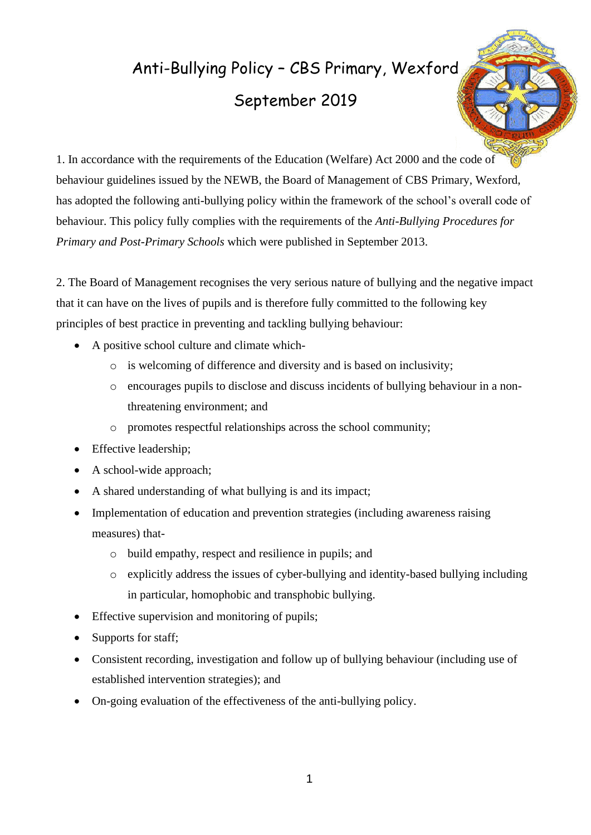# Anti-Bullying Policy – CBS Primary, Wexford September 2019



1. In accordance with the requirements of the Education (Welfare) Act 2000 and the code of behaviour guidelines issued by the NEWB, the Board of Management of CBS Primary, Wexford, has adopted the following anti-bullying policy within the framework of the school's overall code of behaviour. This policy fully complies with the requirements of the *Anti-Bullying Procedures for Primary and Post-Primary Schools* which were published in September 2013.

2. The Board of Management recognises the very serious nature of bullying and the negative impact that it can have on the lives of pupils and is therefore fully committed to the following key principles of best practice in preventing and tackling bullying behaviour:

- A positive school culture and climate which
	- o is welcoming of difference and diversity and is based on inclusivity;
	- o encourages pupils to disclose and discuss incidents of bullying behaviour in a nonthreatening environment; and
	- o promotes respectful relationships across the school community;
- Effective leadership;
- A school-wide approach;
- A shared understanding of what bullying is and its impact;
- Implementation of education and prevention strategies (including awareness raising measures) that
	- o build empathy, respect and resilience in pupils; and
	- o explicitly address the issues of cyber-bullying and identity-based bullying including in particular, homophobic and transphobic bullying.
- Effective supervision and monitoring of pupils;
- Supports for staff;
- Consistent recording, investigation and follow up of bullying behaviour (including use of established intervention strategies); and
- On-going evaluation of the effectiveness of the anti-bullying policy.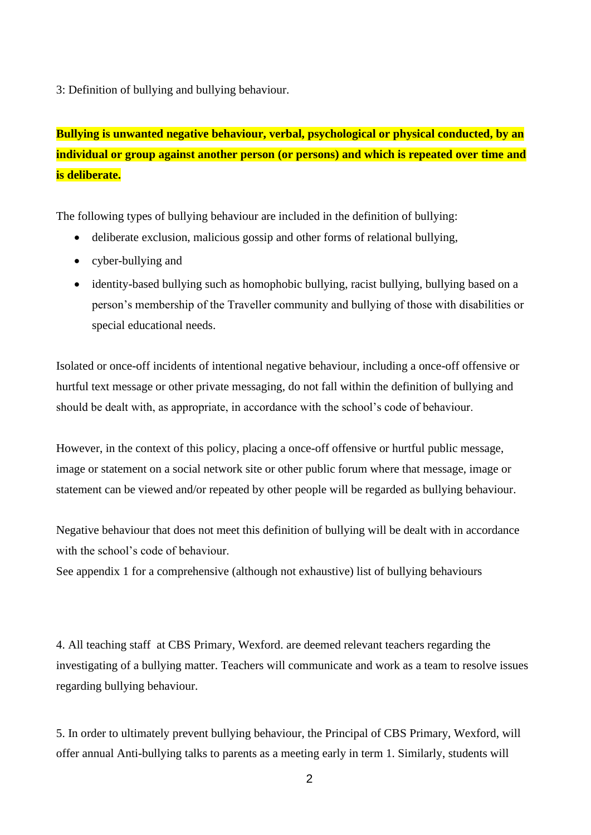3: Definition of bullying and bullying behaviour.

**Bullying is unwanted negative behaviour, verbal, psychological or physical conducted, by an individual or group against another person (or persons) and which is repeated over time and is deliberate.**

The following types of bullying behaviour are included in the definition of bullying:

- deliberate exclusion, malicious gossip and other forms of relational bullying,
- cyber-bullying and
- identity-based bullying such as homophobic bullying, racist bullying, bullying based on a person's membership of the Traveller community and bullying of those with disabilities or special educational needs.

Isolated or once-off incidents of intentional negative behaviour, including a once-off offensive or hurtful text message or other private messaging, do not fall within the definition of bullying and should be dealt with, as appropriate, in accordance with the school's code of behaviour.

However, in the context of this policy, placing a once-off offensive or hurtful public message, image or statement on a social network site or other public forum where that message, image or statement can be viewed and/or repeated by other people will be regarded as bullying behaviour.

Negative behaviour that does not meet this definition of bullying will be dealt with in accordance with the school's code of behaviour.

See appendix 1 for a comprehensive (although not exhaustive) list of bullying behaviours

4. All teaching staff at CBS Primary, Wexford. are deemed relevant teachers regarding the investigating of a bullying matter. Teachers will communicate and work as a team to resolve issues regarding bullying behaviour.

5. In order to ultimately prevent bullying behaviour, the Principal of CBS Primary, Wexford, will offer annual Anti-bullying talks to parents as a meeting early in term 1. Similarly, students will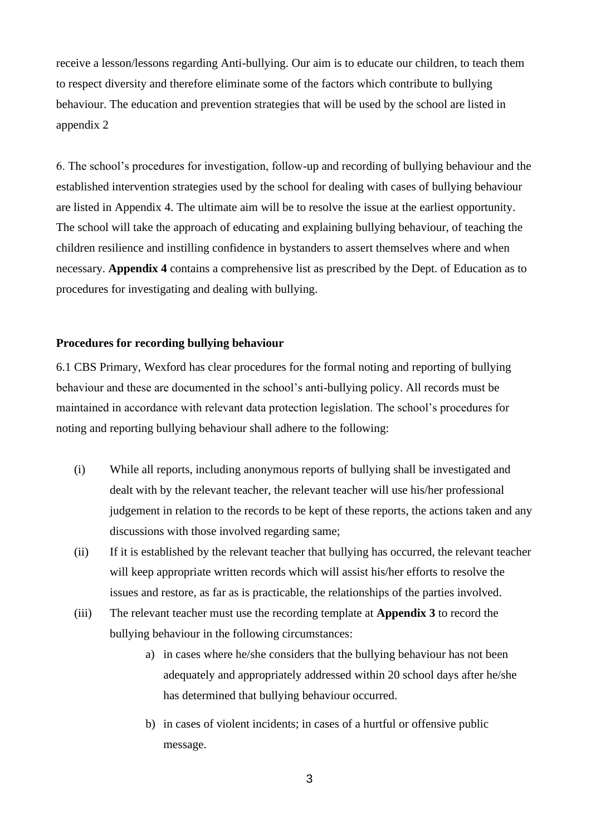receive a lesson/lessons regarding Anti-bullying. Our aim is to educate our children, to teach them to respect diversity and therefore eliminate some of the factors which contribute to bullying behaviour. The education and prevention strategies that will be used by the school are listed in appendix 2

6. The school's procedures for investigation, follow-up and recording of bullying behaviour and the established intervention strategies used by the school for dealing with cases of bullying behaviour are listed in Appendix 4. The ultimate aim will be to resolve the issue at the earliest opportunity. The school will take the approach of educating and explaining bullying behaviour, of teaching the children resilience and instilling confidence in bystanders to assert themselves where and when necessary. **Appendix 4** contains a comprehensive list as prescribed by the Dept. of Education as to procedures for investigating and dealing with bullying.

#### **Procedures for recording bullying behaviour**

6.1 CBS Primary, Wexford has clear procedures for the formal noting and reporting of bullying behaviour and these are documented in the school's anti-bullying policy. All records must be maintained in accordance with relevant data protection legislation. The school's procedures for noting and reporting bullying behaviour shall adhere to the following:

- (i) While all reports, including anonymous reports of bullying shall be investigated and dealt with by the relevant teacher, the relevant teacher will use his/her professional judgement in relation to the records to be kept of these reports, the actions taken and any discussions with those involved regarding same;
- (ii) If it is established by the relevant teacher that bullying has occurred, the relevant teacher will keep appropriate written records which will assist his/her efforts to resolve the issues and restore, as far as is practicable, the relationships of the parties involved.
- (iii) The relevant teacher must use the recording template at **Appendix 3** to record the bullying behaviour in the following circumstances:
	- a) in cases where he/she considers that the bullying behaviour has not been adequately and appropriately addressed within 20 school days after he/she has determined that bullying behaviour occurred.
	- b) in cases of violent incidents; in cases of a hurtful or offensive public message.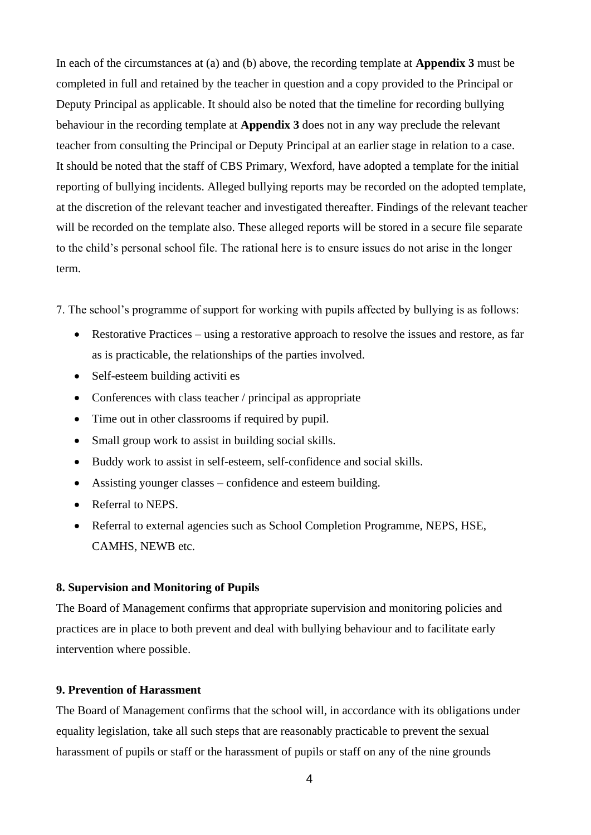In each of the circumstances at (a) and (b) above, the recording template at **Appendix 3** must be completed in full and retained by the teacher in question and a copy provided to the Principal or Deputy Principal as applicable. It should also be noted that the timeline for recording bullying behaviour in the recording template at **Appendix 3** does not in any way preclude the relevant teacher from consulting the Principal or Deputy Principal at an earlier stage in relation to a case. It should be noted that the staff of CBS Primary, Wexford, have adopted a template for the initial reporting of bullying incidents. Alleged bullying reports may be recorded on the adopted template, at the discretion of the relevant teacher and investigated thereafter. Findings of the relevant teacher will be recorded on the template also. These alleged reports will be stored in a secure file separate to the child's personal school file. The rational here is to ensure issues do not arise in the longer term.

7. The school's programme of support for working with pupils affected by bullying is as follows:

- Restorative Practices using a restorative approach to resolve the issues and restore, as far as is practicable, the relationships of the parties involved.
- Self-esteem building activities
- Conferences with class teacher / principal as appropriate
- Time out in other classrooms if required by pupil.
- Small group work to assist in building social skills.
- Buddy work to assist in self-esteem, self-confidence and social skills.
- Assisting younger classes confidence and esteem building.
- Referral to NEPS.
- Referral to external agencies such as School Completion Programme, NEPS, HSE, CAMHS, NEWB etc.

#### **8. Supervision and Monitoring of Pupils**

The Board of Management confirms that appropriate supervision and monitoring policies and practices are in place to both prevent and deal with bullying behaviour and to facilitate early intervention where possible.

#### **9. Prevention of Harassment**

The Board of Management confirms that the school will, in accordance with its obligations under equality legislation, take all such steps that are reasonably practicable to prevent the sexual harassment of pupils or staff or the harassment of pupils or staff on any of the nine grounds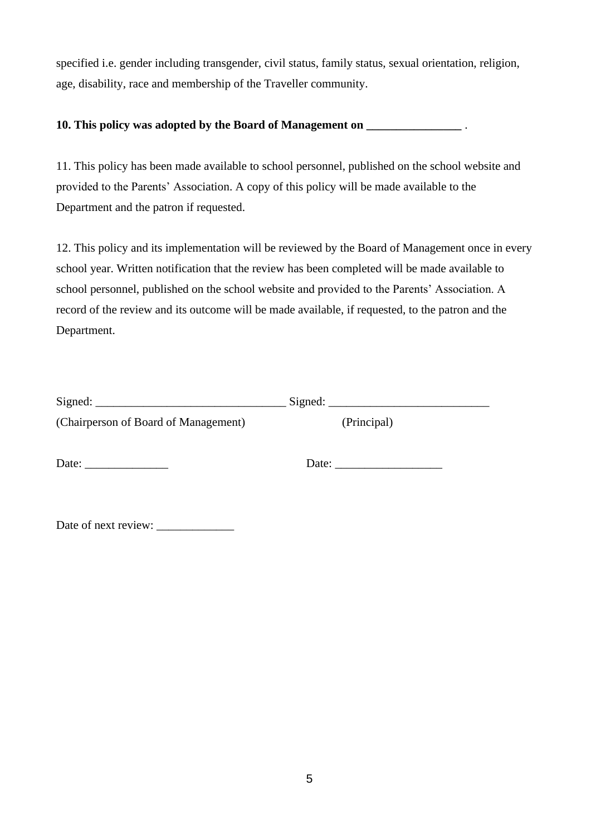specified i.e. gender including transgender, civil status, family status, sexual orientation, religion, age, disability, race and membership of the Traveller community.

#### **10. This policy was adopted by the Board of Management on \_\_\_\_\_\_\_\_\_\_\_\_\_\_\_\_** .

11. This policy has been made available to school personnel, published on the school website and provided to the Parents' Association. A copy of this policy will be made available to the Department and the patron if requested.

12. This policy and its implementation will be reviewed by the Board of Management once in every school year. Written notification that the review has been completed will be made available to school personnel, published on the school website and provided to the Parents' Association. A record of the review and its outcome will be made available, if requested, to the patron and the Department.

| (Chairperson of Board of Management)                     | (Principal) |  |
|----------------------------------------------------------|-------------|--|
| Date: $\frac{1}{\sqrt{1-\frac{1}{2}} \cdot \frac{1}{2}}$ | Date:       |  |

Date of next review: \_\_\_\_\_\_\_\_\_\_\_\_\_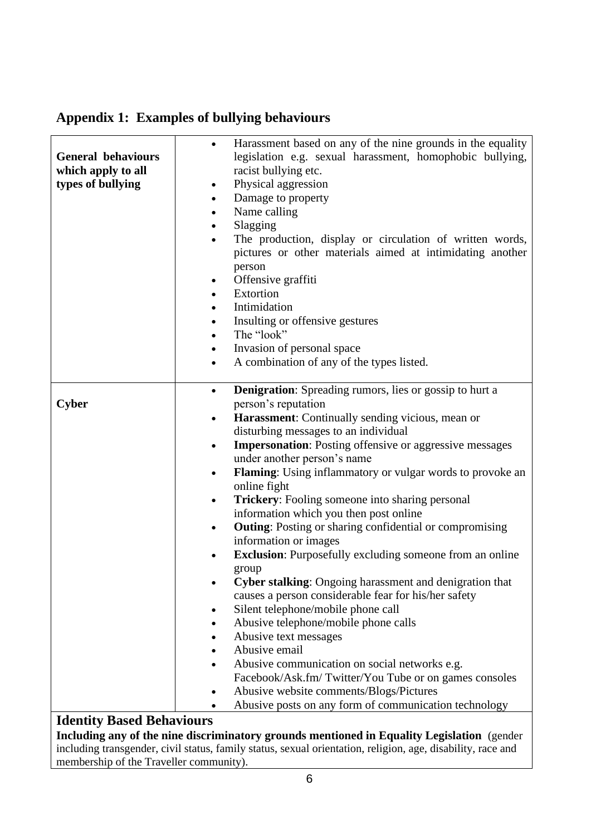| <b>General behaviours</b><br>which apply to all<br>types of bullying | Harassment based on any of the nine grounds in the equality<br>legislation e.g. sexual harassment, homophobic bullying,<br>racist bullying etc.<br>Physical aggression<br>$\bullet$<br>Damage to property<br>$\bullet$<br>Name calling<br>٠<br>Slagging<br>$\bullet$<br>The production, display or circulation of written words,<br>$\bullet$<br>pictures or other materials aimed at intimidating another<br>person<br>Offensive graffiti<br>$\bullet$<br>Extortion<br>$\bullet$<br>Intimidation<br>٠<br>Insulting or offensive gestures<br>$\bullet$<br>The "look"<br>$\bullet$<br>Invasion of personal space<br>٠<br>A combination of any of the types listed.<br>$\bullet$ |
|----------------------------------------------------------------------|--------------------------------------------------------------------------------------------------------------------------------------------------------------------------------------------------------------------------------------------------------------------------------------------------------------------------------------------------------------------------------------------------------------------------------------------------------------------------------------------------------------------------------------------------------------------------------------------------------------------------------------------------------------------------------|
| Cyber                                                                | <b>Denigration:</b> Spreading rumors, lies or gossip to hurt a<br>$\bullet$<br>person's reputation                                                                                                                                                                                                                                                                                                                                                                                                                                                                                                                                                                             |
|                                                                      | Harassment: Continually sending vicious, mean or<br>٠                                                                                                                                                                                                                                                                                                                                                                                                                                                                                                                                                                                                                          |
|                                                                      | disturbing messages to an individual                                                                                                                                                                                                                                                                                                                                                                                                                                                                                                                                                                                                                                           |
|                                                                      | <b>Impersonation:</b> Posting offensive or aggressive messages<br>$\bullet$                                                                                                                                                                                                                                                                                                                                                                                                                                                                                                                                                                                                    |
|                                                                      | under another person's name                                                                                                                                                                                                                                                                                                                                                                                                                                                                                                                                                                                                                                                    |
|                                                                      | Flaming: Using inflammatory or vulgar words to provoke an<br>٠                                                                                                                                                                                                                                                                                                                                                                                                                                                                                                                                                                                                                 |
|                                                                      | online fight                                                                                                                                                                                                                                                                                                                                                                                                                                                                                                                                                                                                                                                                   |
|                                                                      | Trickery: Fooling someone into sharing personal<br>$\bullet$                                                                                                                                                                                                                                                                                                                                                                                                                                                                                                                                                                                                                   |
|                                                                      | information which you then post online                                                                                                                                                                                                                                                                                                                                                                                                                                                                                                                                                                                                                                         |
|                                                                      | <b>Outing:</b> Posting or sharing confidential or compromising<br>٠                                                                                                                                                                                                                                                                                                                                                                                                                                                                                                                                                                                                            |
|                                                                      | information or images                                                                                                                                                                                                                                                                                                                                                                                                                                                                                                                                                                                                                                                          |
|                                                                      | <b>Exclusion:</b> Purposefully excluding someone from an online                                                                                                                                                                                                                                                                                                                                                                                                                                                                                                                                                                                                                |
|                                                                      | group                                                                                                                                                                                                                                                                                                                                                                                                                                                                                                                                                                                                                                                                          |
|                                                                      | Cyber stalking: Ongoing harassment and denigration that                                                                                                                                                                                                                                                                                                                                                                                                                                                                                                                                                                                                                        |
|                                                                      | causes a person considerable fear for his/her safety                                                                                                                                                                                                                                                                                                                                                                                                                                                                                                                                                                                                                           |
|                                                                      | Silent telephone/mobile phone call                                                                                                                                                                                                                                                                                                                                                                                                                                                                                                                                                                                                                                             |
|                                                                      | Abusive telephone/mobile phone calls                                                                                                                                                                                                                                                                                                                                                                                                                                                                                                                                                                                                                                           |
|                                                                      | Abusive text messages                                                                                                                                                                                                                                                                                                                                                                                                                                                                                                                                                                                                                                                          |
|                                                                      | Abusive email                                                                                                                                                                                                                                                                                                                                                                                                                                                                                                                                                                                                                                                                  |
|                                                                      | Abusive communication on social networks e.g.                                                                                                                                                                                                                                                                                                                                                                                                                                                                                                                                                                                                                                  |
|                                                                      | Facebook/Ask.fm/Twitter/You Tube or on games consoles                                                                                                                                                                                                                                                                                                                                                                                                                                                                                                                                                                                                                          |
|                                                                      | Abusive website comments/Blogs/Pictures                                                                                                                                                                                                                                                                                                                                                                                                                                                                                                                                                                                                                                        |
|                                                                      | Abusive posts on any form of communication technology                                                                                                                                                                                                                                                                                                                                                                                                                                                                                                                                                                                                                          |

## **Appendix 1: Examples of bullying behaviours**

## **Identity Based Behaviours**

**Including any of the nine discriminatory grounds mentioned in Equality Legislation** (gender including transgender, civil status, family status, sexual orientation, religion, age, disability, race and membership of the Traveller community).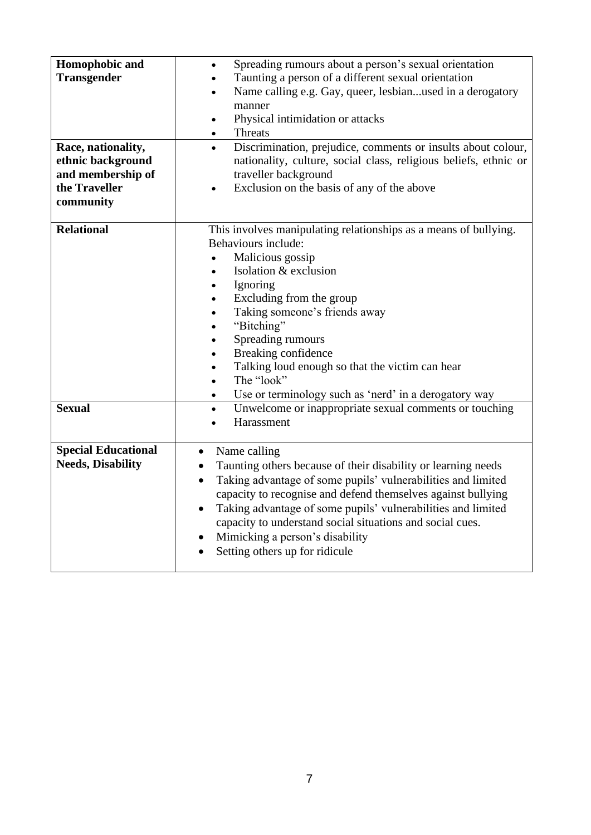| Homophobic and<br><b>Transgender</b><br>Race, nationality,<br>ethnic background<br>and membership of<br>the Traveller<br>community | Spreading rumours about a person's sexual orientation<br>$\bullet$<br>Taunting a person of a different sexual orientation<br>$\bullet$<br>Name calling e.g. Gay, queer, lesbianused in a derogatory<br>$\bullet$<br>manner<br>Physical intimidation or attacks<br>$\bullet$<br>Threats<br>$\bullet$<br>Discrimination, prejudice, comments or insults about colour,<br>$\bullet$<br>nationality, culture, social class, religious beliefs, ethnic or<br>traveller background<br>Exclusion on the basis of any of the above                       |
|------------------------------------------------------------------------------------------------------------------------------------|--------------------------------------------------------------------------------------------------------------------------------------------------------------------------------------------------------------------------------------------------------------------------------------------------------------------------------------------------------------------------------------------------------------------------------------------------------------------------------------------------------------------------------------------------|
| <b>Relational</b>                                                                                                                  | This involves manipulating relationships as a means of bullying.<br>Behaviours include:<br>Malicious gossip<br>$\bullet$<br>Isolation & exclusion<br>$\bullet$<br>Ignoring<br>$\bullet$<br>Excluding from the group<br>$\bullet$<br>Taking someone's friends away<br>$\bullet$<br>"Bitching"<br>$\bullet$<br>Spreading rumours<br>$\bullet$<br>Breaking confidence<br>$\bullet$<br>Talking loud enough so that the victim can hear<br>$\bullet$<br>The "look"<br>$\bullet$<br>Use or terminology such as 'nerd' in a derogatory way<br>$\bullet$ |
| <b>Sexual</b>                                                                                                                      | Unwelcome or inappropriate sexual comments or touching<br>$\bullet$<br>Harassment<br>$\bullet$                                                                                                                                                                                                                                                                                                                                                                                                                                                   |
| <b>Special Educational</b><br><b>Needs, Disability</b>                                                                             | Name calling<br>$\bullet$<br>Taunting others because of their disability or learning needs<br>$\bullet$<br>Taking advantage of some pupils' vulnerabilities and limited<br>$\bullet$<br>capacity to recognise and defend themselves against bullying<br>Taking advantage of some pupils' vulnerabilities and limited<br>$\bullet$<br>capacity to understand social situations and social cues.<br>Mimicking a person's disability<br>$\bullet$<br>Setting others up for ridicule                                                                 |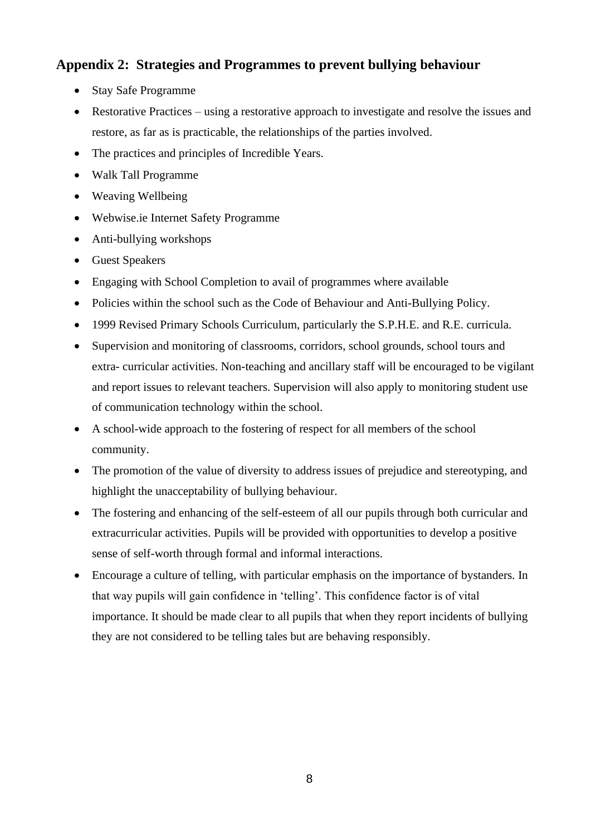## **Appendix 2: Strategies and Programmes to prevent bullying behaviour**

- Stay Safe Programme
- Restorative Practices using a restorative approach to investigate and resolve the issues and restore, as far as is practicable, the relationships of the parties involved.
- The practices and principles of Incredible Years.
- Walk Tall Programme
- Weaving Wellbeing
- Webwise.ie Internet Safety Programme
- Anti-bullying workshops
- Guest Speakers
- Engaging with School Completion to avail of programmes where available
- Policies within the school such as the Code of Behaviour and Anti-Bullying Policy.
- 1999 Revised Primary Schools Curriculum, particularly the S.P.H.E. and R.E. curricula.
- Supervision and monitoring of classrooms, corridors, school grounds, school tours and extra- curricular activities. Non-teaching and ancillary staff will be encouraged to be vigilant and report issues to relevant teachers. Supervision will also apply to monitoring student use of communication technology within the school.
- A school-wide approach to the fostering of respect for all members of the school community.
- The promotion of the value of diversity to address issues of prejudice and stereotyping, and highlight the unacceptability of bullying behaviour.
- The fostering and enhancing of the self-esteem of all our pupils through both curricular and extracurricular activities. Pupils will be provided with opportunities to develop a positive sense of self-worth through formal and informal interactions.
- Encourage a culture of telling, with particular emphasis on the importance of bystanders. In that way pupils will gain confidence in 'telling'. This confidence factor is of vital importance. It should be made clear to all pupils that when they report incidents of bullying they are not considered to be telling tales but are behaving responsibly.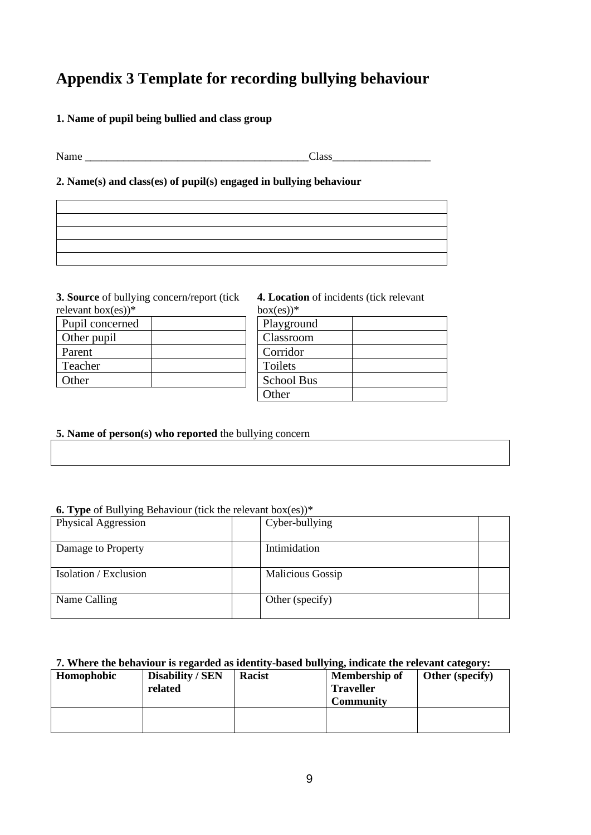## **Appendix 3 Template for recording bullying behaviour**

#### **1. Name of pupil being bullied and class group**

Name \_\_\_\_\_\_\_\_\_\_\_\_\_\_\_\_\_\_\_\_\_\_\_\_\_\_\_\_\_\_\_\_\_\_\_\_\_\_\_\_\_Class\_\_\_\_\_\_\_\_\_\_\_\_\_\_\_\_\_\_

#### **2. Name(s) and class(es) of pupil(s) engaged in bullying behaviour**

**3. Source** of bullying concern/report (tick ont box(es)) $*$ 

| relevant box(es)) <sup>*</sup> |  |
|--------------------------------|--|
| Pupil concerned                |  |
| Other pupil                    |  |
| Parent                         |  |
| Teacher                        |  |
| Other                          |  |

#### **4. Location** of incidents (tick relevant  $box(es))^*$

| Playground        |  |
|-------------------|--|
| Classroom         |  |
| Corridor          |  |
| Toilets           |  |
| <b>School Bus</b> |  |
| Other             |  |

#### **5. Name of person(s) who reported** the bullying concern

#### **6. Type** of Bullying Behaviour (tick the relevant box(es))\*

| Physical Aggression   | Cyber-bullying   |  |
|-----------------------|------------------|--|
| Damage to Property    | Intimidation     |  |
| Isolation / Exclusion | Malicious Gossip |  |
| Name Calling          | Other (specify)  |  |

#### **7. Where the behaviour is regarded as identity-based bullying, indicate the relevant category:**

| Homophobic | Disability / SEN<br>related | Racist | Membership of<br><b>Traveller</b><br><b>Community</b> | <b>Other</b> (specify) |
|------------|-----------------------------|--------|-------------------------------------------------------|------------------------|
|            |                             |        |                                                       |                        |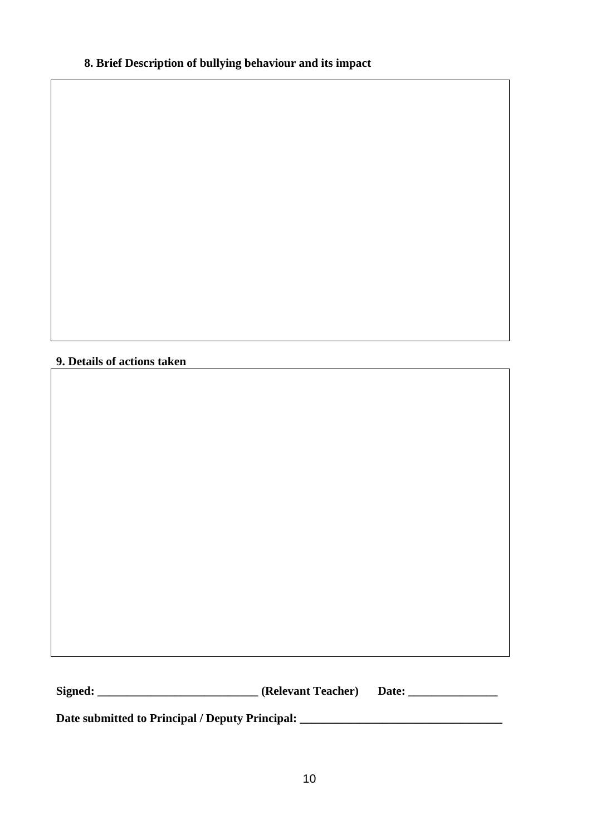## **8. Brief Description of bullying behaviour and its impact**

#### **9. Details of actions taken**

**Signed: \_\_\_\_\_\_\_\_\_\_\_\_\_\_\_\_\_\_\_\_\_\_\_\_\_\_\_ (Relevant Teacher) Date: \_\_\_\_\_\_\_\_\_\_\_\_\_\_\_**

**Date submitted to Principal / Deputy Principal: \_\_\_\_\_\_\_\_\_\_\_\_\_\_\_\_\_\_\_\_\_\_\_\_\_\_\_\_\_\_\_\_\_\_**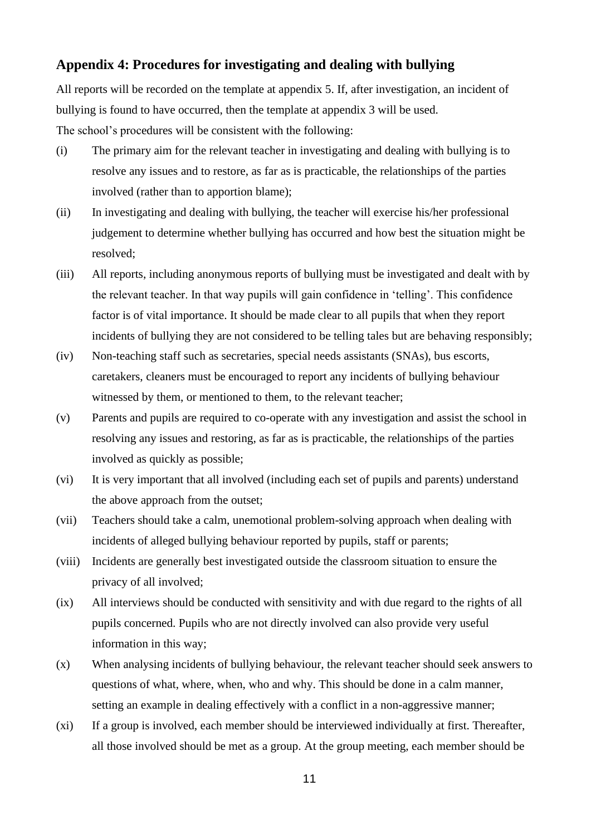#### **Appendix 4: Procedures for investigating and dealing with bullying**

All reports will be recorded on the template at appendix 5. If, after investigation, an incident of bullying is found to have occurred, then the template at appendix 3 will be used. The school's procedures will be consistent with the following:

- (i) The primary aim for the relevant teacher in investigating and dealing with bullying is to resolve any issues and to restore, as far as is practicable, the relationships of the parties involved (rather than to apportion blame);
- (ii) In investigating and dealing with bullying, the teacher will exercise his/her professional judgement to determine whether bullying has occurred and how best the situation might be resolved;
- (iii) All reports, including anonymous reports of bullying must be investigated and dealt with by the relevant teacher. In that way pupils will gain confidence in 'telling'. This confidence factor is of vital importance. It should be made clear to all pupils that when they report incidents of bullying they are not considered to be telling tales but are behaving responsibly;
- (iv) Non-teaching staff such as secretaries, special needs assistants (SNAs), bus escorts, caretakers, cleaners must be encouraged to report any incidents of bullying behaviour witnessed by them, or mentioned to them, to the relevant teacher;
- (v) Parents and pupils are required to co-operate with any investigation and assist the school in resolving any issues and restoring, as far as is practicable, the relationships of the parties involved as quickly as possible;
- (vi) It is very important that all involved (including each set of pupils and parents) understand the above approach from the outset;
- (vii) Teachers should take a calm, unemotional problem-solving approach when dealing with incidents of alleged bullying behaviour reported by pupils, staff or parents;
- (viii) Incidents are generally best investigated outside the classroom situation to ensure the privacy of all involved;
- (ix) All interviews should be conducted with sensitivity and with due regard to the rights of all pupils concerned. Pupils who are not directly involved can also provide very useful information in this way;
- (x) When analysing incidents of bullying behaviour, the relevant teacher should seek answers to questions of what, where, when, who and why. This should be done in a calm manner, setting an example in dealing effectively with a conflict in a non-aggressive manner;
- (xi) If a group is involved, each member should be interviewed individually at first. Thereafter, all those involved should be met as a group. At the group meeting, each member should be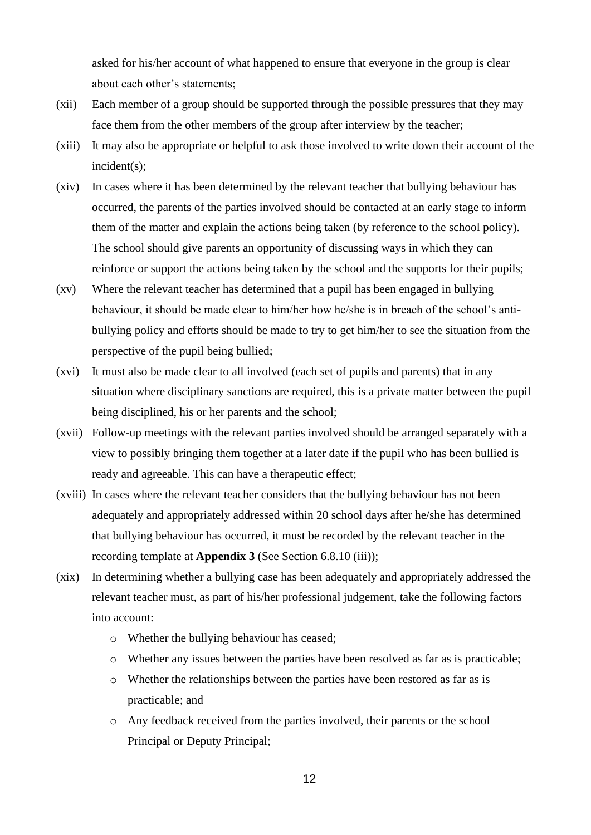asked for his/her account of what happened to ensure that everyone in the group is clear about each other's statements;

- (xii) Each member of a group should be supported through the possible pressures that they may face them from the other members of the group after interview by the teacher;
- (xiii) It may also be appropriate or helpful to ask those involved to write down their account of the incident(s);
- (xiv) In cases where it has been determined by the relevant teacher that bullying behaviour has occurred, the parents of the parties involved should be contacted at an early stage to inform them of the matter and explain the actions being taken (by reference to the school policy). The school should give parents an opportunity of discussing ways in which they can reinforce or support the actions being taken by the school and the supports for their pupils;
- (xv) Where the relevant teacher has determined that a pupil has been engaged in bullying behaviour, it should be made clear to him/her how he/she is in breach of the school's antibullying policy and efforts should be made to try to get him/her to see the situation from the perspective of the pupil being bullied;
- (xvi) It must also be made clear to all involved (each set of pupils and parents) that in any situation where disciplinary sanctions are required, this is a private matter between the pupil being disciplined, his or her parents and the school;
- (xvii) Follow-up meetings with the relevant parties involved should be arranged separately with a view to possibly bringing them together at a later date if the pupil who has been bullied is ready and agreeable. This can have a therapeutic effect;
- (xviii) In cases where the relevant teacher considers that the bullying behaviour has not been adequately and appropriately addressed within 20 school days after he/she has determined that bullying behaviour has occurred, it must be recorded by the relevant teacher in the recording template at **Appendix 3** (See Section 6.8.10 (iii));
- (xix) In determining whether a bullying case has been adequately and appropriately addressed the relevant teacher must, as part of his/her professional judgement, take the following factors into account:
	- o Whether the bullying behaviour has ceased;
	- o Whether any issues between the parties have been resolved as far as is practicable;
	- o Whether the relationships between the parties have been restored as far as is practicable; and
	- o Any feedback received from the parties involved, their parents or the school Principal or Deputy Principal;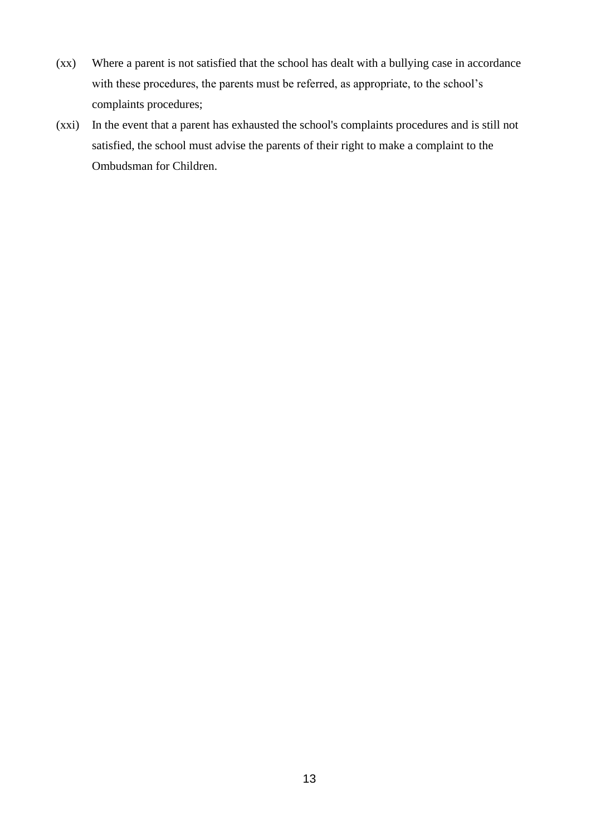- (xx) Where a parent is not satisfied that the school has dealt with a bullying case in accordance with these procedures, the parents must be referred, as appropriate, to the school's complaints procedures;
- (xxi) In the event that a parent has exhausted the school's complaints procedures and is still not satisfied, the school must advise the parents of their right to make a complaint to the Ombudsman for Children.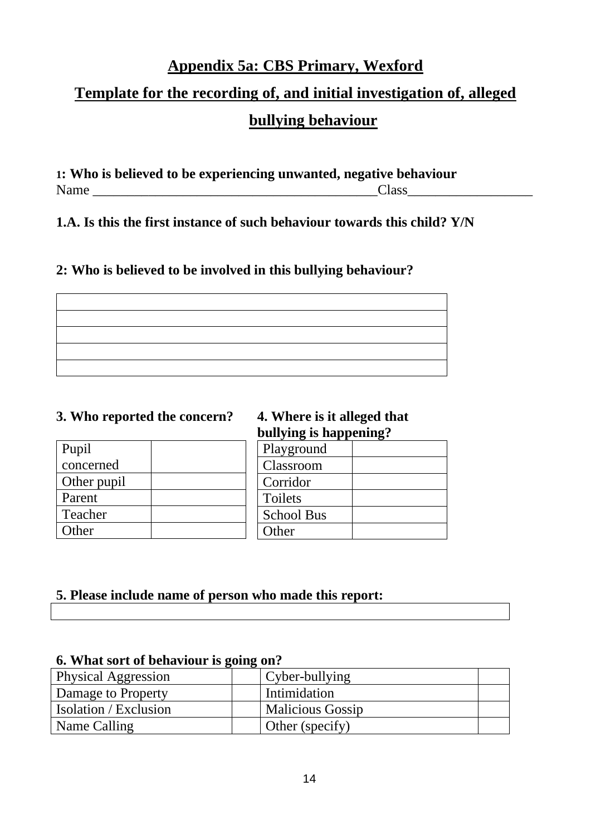## **Appendix 5a: CBS Primary, Wexford**

## **Template for the recording of, and initial investigation of, alleged bullying behaviour**

**1: Who is believed to be experiencing unwanted, negative behaviour** Name \_\_\_\_\_\_\_\_\_\_\_\_\_\_\_\_\_\_\_\_\_\_\_\_\_\_\_\_\_\_\_\_\_\_\_\_\_\_\_\_\_Class\_\_\_\_\_\_\_\_\_\_\_\_\_\_\_\_\_\_

**1.A. Is this the first instance of such behaviour towards this child? Y/N**

## **2: Who is believed to be involved in this bullying behaviour?**

## **3. Who reported the concern? 4. Where is it alleged that**

| Pupil       |  |
|-------------|--|
| concerned   |  |
| Other pupil |  |
| Parent      |  |
| Teacher     |  |
| Other       |  |

# **bullying is happening?**

| Playground        |  |
|-------------------|--|
| Classroom         |  |
| Corridor          |  |
| Toilets           |  |
| <b>School Bus</b> |  |
| Other             |  |

## **5. Please include name of person who made this report:**

## **6. What sort of behaviour is going on?**

| <b>Physical Aggression</b> | Cyber-bullying          |  |
|----------------------------|-------------------------|--|
| Damage to Property         | Intimidation            |  |
| Isolation / Exclusion      | <b>Malicious Gossip</b> |  |
| Name Calling               | Other (specify)         |  |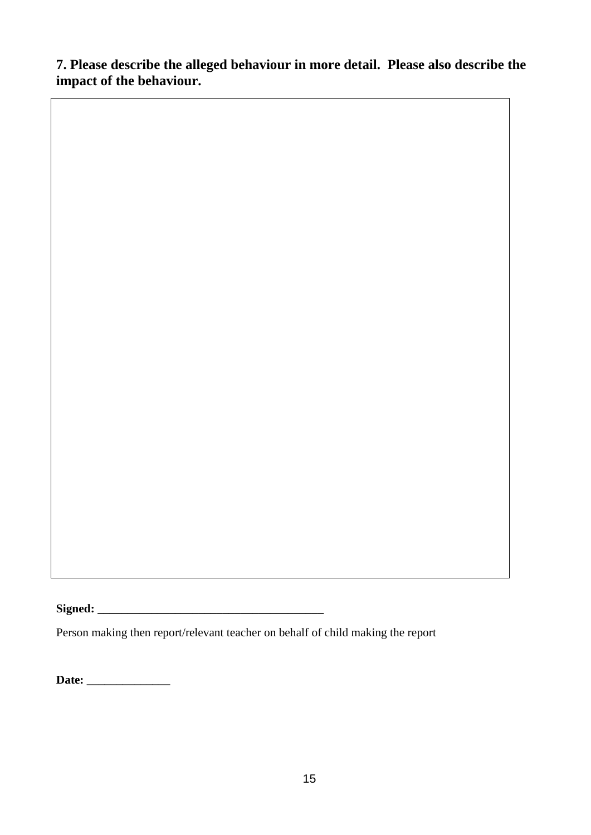**7. Please describe the alleged behaviour in more detail. Please also describe the impact of the behaviour.** 

**Signed: \_\_\_\_\_\_\_\_\_\_\_\_\_\_\_\_\_\_\_\_\_\_\_\_\_\_\_\_\_\_\_\_\_\_\_\_\_\_** 

Person making then report/relevant teacher on behalf of child making the report

**Date: \_\_\_\_\_\_\_\_\_\_\_\_\_\_**